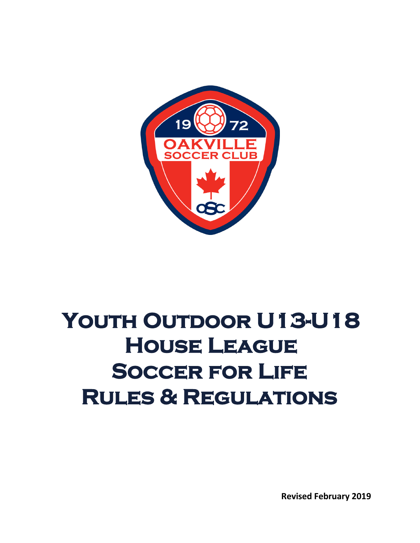

# YOUTH OUTDOOR U13-U18 **House League Soccer for Life Rules & Regulations**

**Revised February 2019**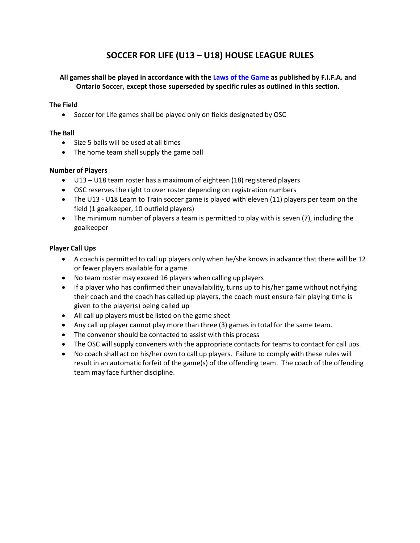# **SOCCER FOR LIFE (U13 – U18) HOUSE LEAGUE RULES**

# **All games shall be played in accordance with the Laws [of the](http://www.theifab.com/#!/laws) Game as published by F.I.F.A. and Ontario Soccer, except those superseded by specific rules as outlined in this section.**

# **The Field**

• Soccer for Life games shall be played only on fields designated by OSC

#### **The Ball**

- Size 5 balls will be used at all times
- The home team shall supply the game ball

#### **Number of Players**

- U13 U18 team roster has a maximum of eighteen (18) registered players
- OSC reserves the right to over roster depending on registration numbers
- The U13 U18 Learn to Train soccer game is played with eleven (11) players per team on the field (1 goalkeeper, 10 outfield players)
- The minimum number of players a team is permitted to play with is seven (7), including the goalkeeper

#### **Player Call Ups**

- A coach is permitted to call up players only when he/she knows in advance that there will be 12 or fewer players available for a game
- No team roster may exceed 16 players when calling up players
- If a player who has confirmed their unavailability, turns up to his/her game without notifying their coach and the coach has called up players, the coach must ensure fair playing time is given to the player(s) being called up
- All call up players must be listed on the game sheet
- Any call up player cannot play more than three (3) games in total for the same team.
- The convenor should be contacted to assist with this process
- The OSC will supply conveners with the appropriate contacts for teams to contact for call ups.
- No coach shall act on his/her own to call up players. Failure to comply with these rules will result in an automatic forfeit of the game(s) of the offending team. The coach of the offending team may face further discipline.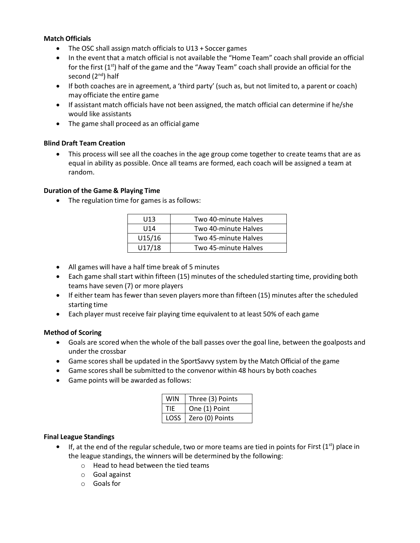# **Match Officials**

- The OSC shall assign match officials to U13 + Soccer games
- In the event that a match official is not available the "Home Team" coach shall provide an official for the first (1<sup>st</sup>) half of the game and the "Away Team" coach shall provide an official for the second (2<sup>nd</sup>) half
- If both coaches are in agreement, a 'third party' (such as, but not limited to, a parent or coach) may officiate the entire game
- If assistant match officials have not been assigned, the match official can determine if he/she would like assistants
- The game shall proceed as an official game

# **Blind Draft Team Creation**

• This process will see all the coaches in the age group come together to create teams that are as equal in ability as possible. Once all teams are formed, each coach will be assigned a team at random.

# **Duration of the Game & Playing Time**

• The regulation time for games is as follows:

| U13    | Two 40-minute Halves |
|--------|----------------------|
| U14    | Two 40-minute Halves |
| U15/16 | Two 45-minute Halves |
| U17/18 | Two 45-minute Halves |

- All games will have a half time break of 5 minutes
- Each game shall start within fifteen (15) minutes of the scheduled starting time, providing both teams have seven (7) or more players
- If either team has fewer than seven players more than fifteen (15) minutes after the scheduled starting time
- Each player must receive fair playing time equivalent to at least 50% of each game

# **Method of Scoring**

- Goals are scored when the whole of the ball passes over the goal line, between the goalposts and under the crossbar
- Game scores shall be updated in the SportSavvy system by the Match Official of the game
- Game scores shall be submitted to the convenor within 48 hours by both coaches
- Game points will be awarded as follows:

| WIN  | Three (3) Points       |
|------|------------------------|
| TIE. | One (1) Point          |
|      | LOSS   Zero (0) Points |

# **Final League Standings**

- $\bullet$  If, at the end of the regular schedule, two or more teams are tied in points for First (1<sup>st</sup>) place in the league standings, the winners will be determined by the following:
	- o Head to head between the tied teams
	- o Goal against
	- o Goals for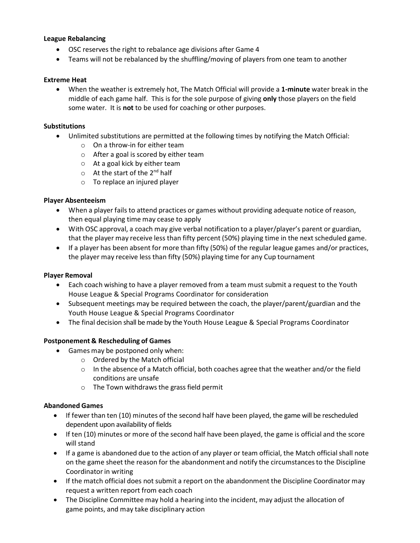# **League Rebalancing**

- OSC reserves the right to rebalance age divisions after Game 4
- Teams will not be rebalanced by the shuffling/moving of players from one team to another

#### **Extreme Heat**

• When the weather is extremely hot, The Match Official will provide a **1-minute** water break in the middle of each game half. This is for the sole purpose of giving **only** those players on the field some water. It is **not** to be used for coaching or other purposes.

#### **Substitutions**

- Unlimited substitutions are permitted at the following times by notifying the Match Official:
	- $\circ$  On a throw-in for either team
	- o After a goal is scored by either team
	- o At a goal kick by either team
	- $\circ$  At the start of the 2<sup>nd</sup> half
	- o To replace an injured player

# **Player Absenteeism**

- When a player fails to attend practices or games without providing adequate notice of reason, then equal playing time may cease to apply
- With OSC approval, a coach may give verbal notification to a player/player's parent or guardian, that the player may receive less than fifty percent (50%) playing time in the next scheduled game.
- If a player has been absent for more than fifty (50%) of the regular league games and/or practices, the player may receive less than fifty (50%) playing time for any Cup tournament

# **Player Removal**

- Each coach wishing to have a player removed from a team must submit a request to the Youth House League & Special Programs Coordinator for consideration
- Subsequent meetings may be required between the coach, the player/parent/guardian and the Youth House League & Special Programs Coordinator
- The final decision shall be made by the Youth House League & Special Programs Coordinator

# **Postponement & Rescheduling of Games**

- Games may be postponed only when:
	- o Ordered by the Match official
	- $\circ$  In the absence of a Match official, both coaches agree that the weather and/or the field conditions are unsafe
	- o The Town withdraws the grass field permit

# **Abandoned Games**

- If fewer than ten (10) minutes of the second half have been played, the game will be rescheduled dependent upon availability of fields
- If ten (10) minutes or more of the second half have been played, the game is official and the score will stand
- If a game is abandoned due to the action of any player or team official, the Match official shall note on the game sheet the reason for the abandonment and notify the circumstancesto the Discipline Coordinator in writing
- If the match official does not submit a report on the abandonment the Discipline Coordinator may request a written report from each coach
- The Discipline Committee may hold a hearing into the incident, may adjust the allocation of game points, and may take disciplinary action